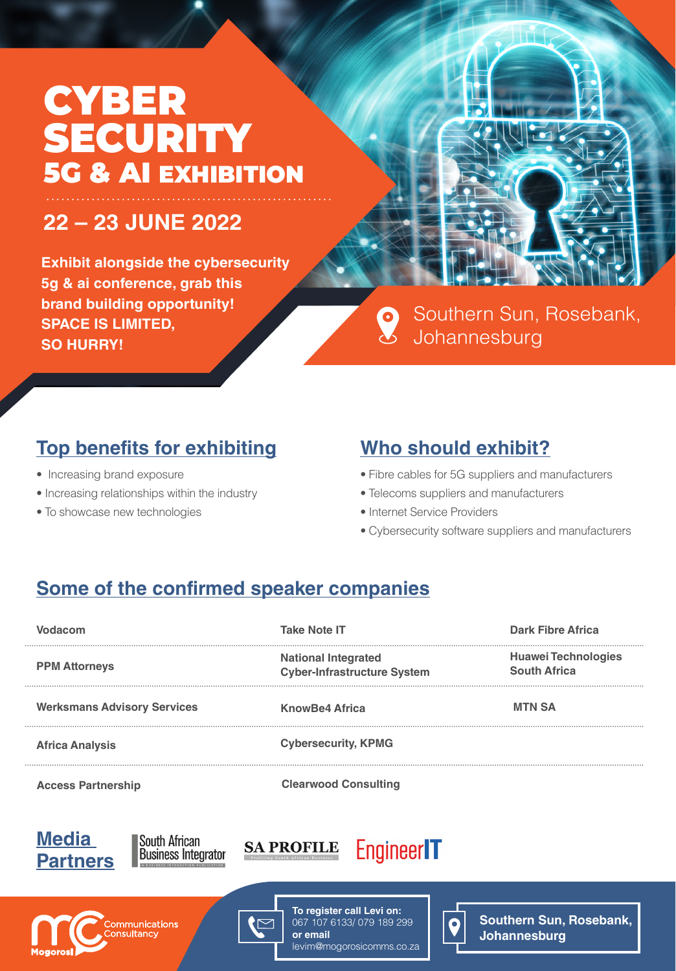# CYBER SECURITY 5G & AI EXHIBITION

## **22 – 23 JUNE 2022**

**Exhibit alongside the cybersecurity 5g & ai conference, grab this brand building opportunity! SPACE IS LIMITED, SO HURRY!**



Southern Sun, Rosebank,  $\mathbf{Q}$ Johannesburg

#### **Top benefits for exhibiting**

- Increasing brand exposure
- Increasing relationships within the industry
- To showcase new technologies

### **Who should exhibit?**

- Fibre cables for 5G suppliers and manufacturers
- Telecoms suppliers and manufacturers
- Internet Service Providers
- Cybersecurity software suppliers and manufacturers

### **Some of the confirmed speaker companies**

| Vodacom                            | <b>Take Note IT</b>                                              | <b>Dark Fibre Africa</b>                          |
|------------------------------------|------------------------------------------------------------------|---------------------------------------------------|
| <b>PPM Attorneys</b>               | <b>National Integrated</b><br><b>Cyber-Infrastructure System</b> | <b>Huawei Technologies</b><br><b>South Africa</b> |
| <b>Werksmans Advisory Services</b> | <b>KnowBe4 Africa</b>                                            | <b>MTN SA</b>                                     |
| <b>Africa Analysis</b>             | <b>Cybersecurity, KPMG</b>                                       |                                                   |
| <b>Access Partnership</b>          | <b>Clearwood Consulting</b>                                      |                                                   |
|                                    |                                                                  |                                                   |



**South African Business Integrator** 







067 107 6133/ 079 189 299 levim@mogorosicomms.co.za



**Southern Sun, Rosebank, Johannesburg**